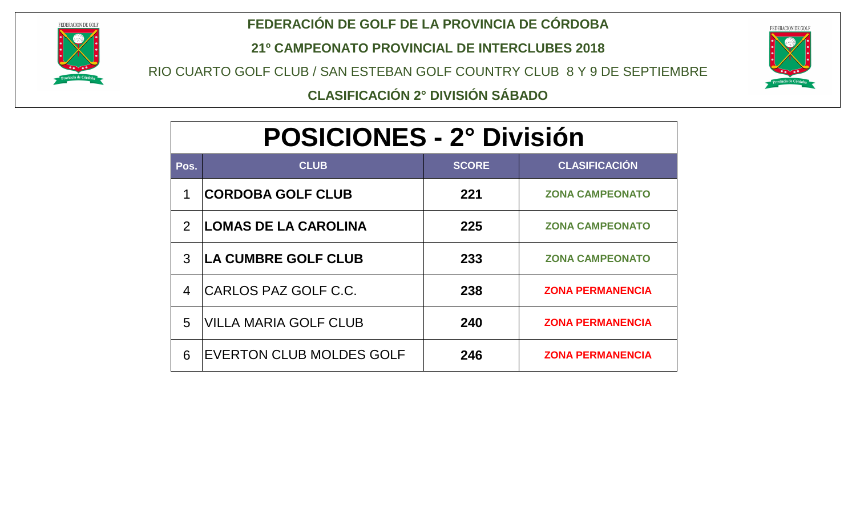

#### **FEDERACIÓN DE GOLF DE LA PROVINCIA DE CÓRDOBA**

**21º CAMPEONATO PROVINCIAL DE INTERCLUBES 2018**

RIO CUARTO GOLF CLUB / SAN ESTEBAN GOLF COUNTRY CLUB 8 Y 9 DE SEPTIEMBRE



**CLASIFICACIÓN 2° DIVISIÓN SÁBADO**

# **POSICIONES - 2° División POSICIONES - 2° División**

| Pos.           | <b>CLUB</b>                  | <b>SCORE</b> | <b>CLASIFICACIÓN</b>    |
|----------------|------------------------------|--------------|-------------------------|
| 1              | <b>CORDOBA GOLF CLUB</b>     | 221          | <b>ZONA CAMPEONATO</b>  |
| $\overline{2}$ | <b>LOMAS DE LA CAROLINA</b>  | 225          | <b>ZONA CAMPEONATO</b>  |
| 3              | <b>LA CUMBRE GOLF CLUB</b>   | 233          | <b>ZONA CAMPEONATO</b>  |
| 4              | ICARLOS PAZ GOLF C.C.        | 238          | <b>ZONA PERMANENCIA</b> |
| 5              | <b>VILLA MARIA GOLF CLUB</b> | 240          | <b>ZONA PERMANENCIA</b> |
| 6              | EVERTON CLUB MOLDES GOLF     | 246          | <b>ZONA PERMANENCIA</b> |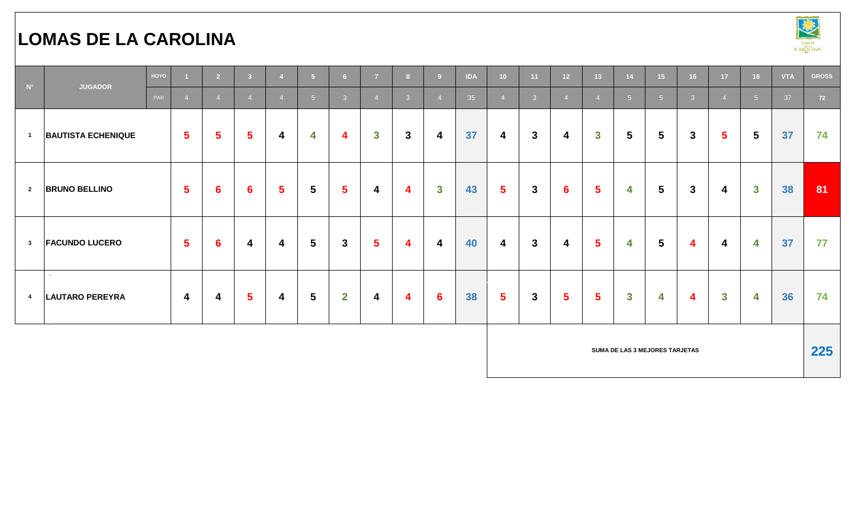# **LOMAS DE LA CAROLINA**



| $N^{\circ}$             | <b>JUGADOR</b>                   | HOYO |                         | $\overline{2}$   | $\overline{\mathbf{3}}$ | $\overline{4}$          | 5 <sub>5</sub>  | 6 <sup>1</sup> | $\overline{7}$ | 8                       | 9                       | <b>IDA</b> | 10 <sub>1</sub>         | 11             | 12 <sup>°</sup> | 13             | 14                             | 15 <sub>1</sub> | 16           | 17 <sub>2</sub>         | 18             | <b>VTA</b> | <b>GROSS</b> |
|-------------------------|----------------------------------|------|-------------------------|------------------|-------------------------|-------------------------|-----------------|----------------|----------------|-------------------------|-------------------------|------------|-------------------------|----------------|-----------------|----------------|--------------------------------|-----------------|--------------|-------------------------|----------------|------------|--------------|
|                         |                                  | PAR  |                         | $\overline{4}$   | $\overline{4}$          | $\overline{4}$          | 5 <sub>5</sub>  | $\mathbf{3}$   |                | $\overline{\mathbf{3}}$ | $\overline{4}$          | 35         | $\overline{4}$          | 3 <sup>2</sup> | $\overline{4}$  | $\overline{4}$ | 5 <sup>1</sup>                 | $-5$            | $\mathbf{3}$ | $\overline{4}$          | 5 <sup>5</sup> | 37         | 72           |
| $\overline{1}$          | <b>BAUTISTA ECHENIQUE</b>        |      | $\sqrt{5}$              | 5                | $5\phantom{1}$          | 4                       | 4               | 4              | $\mathbf{3}$   | $3\phantom{a}$          | $\boldsymbol{4}$        | 37         | $\overline{\mathbf{4}}$ | $\mathbf{3}$   | 4               | $\mathbf{3}$   | $5\phantom{.0}$                | $5\phantom{1}$  | $\mathbf{3}$ | $5\phantom{1}$          | $5\phantom{1}$ | 37         | 74           |
| $\overline{\mathbf{2}}$ | <b>BRUNO BELLINO</b>             |      | $5\phantom{.0}$         | $6\phantom{1}6$  | $6\phantom{1}$          | 5 <sup>5</sup>          | $5\phantom{.0}$ | $5\phantom{a}$ | 4              | $\overline{\mathbf{4}}$ | $\mathbf{3}$            | 43         | 5 <sup>5</sup>          | $\mathbf{3}$   | $6\phantom{1}6$ | 5 <sup>5</sup> | 4                              | $5\phantom{1}$  | $\mathbf{3}$ | 4                       | $\mathbf{3}$   | 38         | 81           |
| $\overline{\mathbf{3}}$ | <b>FACUNDO LUCERO</b>            |      | $\sqrt{5}$              | 6                | $\overline{\mathbf{4}}$ | $\overline{\mathbf{4}}$ | $5\phantom{.0}$ | $\mathbf{3}$   | $5\phantom{a}$ | $\overline{\mathbf{4}}$ | $\overline{\mathbf{4}}$ | 40         | $\overline{\mathbf{4}}$ | $\mathbf{3}$   | 4               | $5\phantom{1}$ | 4                              | $5\phantom{1}$  | 4            | $\overline{\mathbf{4}}$ | 4              | 37         | 77           |
| $\overline{\mathbf{4}}$ | $\sim$<br><b>LAUTARO PEREYRA</b> |      | $\overline{\mathbf{4}}$ | $\boldsymbol{4}$ | $5\phantom{1}$          | $\overline{\mathbf{4}}$ | $5\phantom{.0}$ | $\overline{2}$ | 4              | $\overline{\mathbf{4}}$ | $6\phantom{1}6$         | 38         | 5 <sup>5</sup>          | $\mathbf{3}$   | $5\phantom{a}$  | 5 <sup>5</sup> | $\mathbf{3}$                   | 4               | 4            | $\mathbf{3}$            | 4              | 36         | 74           |
|                         |                                  |      |                         |                  |                         |                         |                 |                |                |                         |                         |            |                         |                |                 |                | SUMA DE LAS 3 MEJORES TARJETAS |                 |              |                         |                |            | 225          |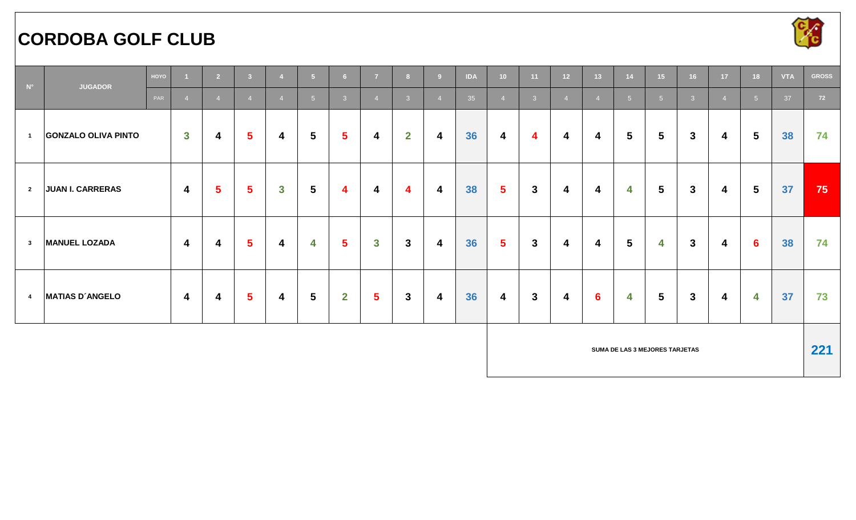# **CORDOBA GOLF CLUB**



| $N^{\circ}$             | <b>JUGADOR</b>             | HOYO |                         | $\overline{2}$          | $\overline{\mathbf{3}}$ | $\overline{4}$          | $-5$            | 6 <sup>1</sup> | $\overline{7}$ | 8                       | $\overline{9}$          | <b>IDA</b> | 10 <sub>1</sub>         | 11                      | 12 <sup>°</sup>  | 13 <sup>°</sup>         | 14             | 15 <sub>1</sub>                | 16             | 17 <sup>°</sup>         | 18              | <b>VTA</b> | <b>GROSS</b> |
|-------------------------|----------------------------|------|-------------------------|-------------------------|-------------------------|-------------------------|-----------------|----------------|----------------|-------------------------|-------------------------|------------|-------------------------|-------------------------|------------------|-------------------------|----------------|--------------------------------|----------------|-------------------------|-----------------|------------|--------------|
|                         |                            | PAR  |                         | $\overline{4}$          |                         | $\overline{4}$          | 5 <sup>1</sup>  | $\overline{3}$ |                | 3 <sup>°</sup>          | $\overline{4}$          | 35         | $\overline{4}$          | $\overline{3}$          | $\overline{4}$   |                         | 5 <sup>1</sup> | $5\overline{5}$                | 3 <sup>2</sup> | $\overline{4}$          | 5 <sup>1</sup>  | 37         | 72           |
| $\overline{\mathbf{1}}$ | <b>GONZALO OLIVA PINTO</b> |      | $\overline{\mathbf{3}}$ | $\overline{\mathbf{4}}$ | $5\phantom{a}$          | $\overline{\mathbf{4}}$ | 5               | $5\phantom{1}$ | 4              | $\overline{2}$          | $\overline{\mathbf{4}}$ | 36         | $\overline{\mathbf{4}}$ | $\overline{\mathbf{4}}$ | 4                | 4                       | 5 <sup>5</sup> | $5\phantom{.0}$                | $\mathbf{3}$   | $\overline{\mathbf{4}}$ | $5\overline{)}$ | 38         | 74           |
| $\overline{\mathbf{2}}$ | <b>JUAN I. CARRERAS</b>    |      | $\overline{4}$          | $5\phantom{1}$          | $5\phantom{1}$          | $\mathbf{3}$            | $5\overline{)}$ | 4              | 4              | $\overline{\mathbf{4}}$ | $\overline{\mathbf{4}}$ | 38         | 5 <sup>5</sup>          | $\mathbf{3}$            | 4                | $\overline{\mathbf{4}}$ | 4              | $5\phantom{1}$                 | $\mathbf{3}$   | 4                       | $5\overline{)}$ | 37         | 75           |
| $\mathbf{3}$            | <b>MANUEL LOZADA</b>       |      | $\overline{\mathbf{4}}$ | 4                       | $\overline{\mathbf{5}}$ | $\overline{\mathbf{4}}$ | 4               | $5\phantom{1}$ | $\mathbf{3}$   | $3\phantom{a}$          | $\boldsymbol{4}$        | 36         | 5 <sup>5</sup>          | $\mathbf{3}$            | $\boldsymbol{4}$ | 4                       | 5              | 4                              | $\mathbf{3}$   | 4                       | $6\phantom{1}6$ | 38         | 74           |
| $\overline{\mathbf{4}}$ | <b>MATIAS D'ANGELO</b>     |      | $\overline{\mathbf{4}}$ | 4                       | $5\phantom{1}$          | $\overline{\mathbf{4}}$ | $5\phantom{.0}$ | $\overline{2}$ | $5\phantom{1}$ | $\mathbf{3}$            | $\overline{\mathbf{4}}$ | 36         | $\overline{\mathbf{4}}$ | $\mathbf{3}$            | 4                | $6\phantom{1}$          | 4              | $5\phantom{1}$                 | $\mathbf{3}$   | $\overline{\mathbf{4}}$ | 4               | 37         | 73           |
|                         |                            |      |                         |                         |                         |                         |                 |                |                |                         |                         |            |                         |                         |                  |                         |                | SUMA DE LAS 3 MEJORES TARJETAS |                |                         |                 |            | 221          |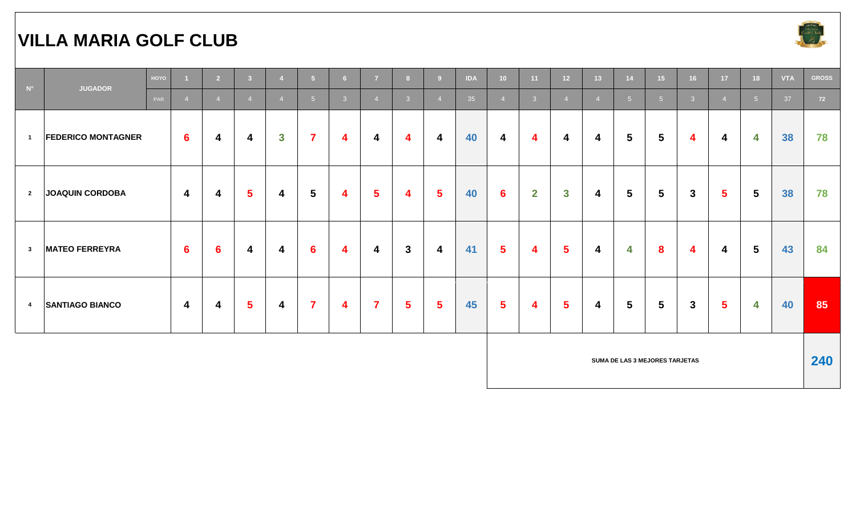#### **VILLA MARIA GOLF CLUB**



| $N^{\circ}$             | <b>JUGADOR</b>            | HOYO |                         | $\overline{2}$          | $\overline{3}$          |                         | 5 <sup>1</sup>          | 6              | 7              | -8             | - C                     | <b>IDA</b> | 10 <sub>1</sub> | 11             | 12 <sub>2</sub> | 13             | 14              | 15 <sub>1</sub> | 16                      | 17             | 18              | <b>VTA</b> | <b>GROSS</b> |
|-------------------------|---------------------------|------|-------------------------|-------------------------|-------------------------|-------------------------|-------------------------|----------------|----------------|----------------|-------------------------|------------|-----------------|----------------|-----------------|----------------|-----------------|-----------------|-------------------------|----------------|-----------------|------------|--------------|
|                         |                           | PAR  |                         | $\overline{4}$          | $\overline{4}$          | $\overline{4}$          | 5 <sup>7</sup>          | 3 <sup>°</sup> | $\overline{4}$ | 3 <sup>°</sup> |                         | 35         | $\overline{4}$  | 3 <sup>°</sup> | $\overline{4}$  | $\overline{4}$ | 5 <sup>1</sup>  | 5 <sup>1</sup>  | $\overline{\mathbf{3}}$ |                | 5 <sup>5</sup>  | 37         | 72           |
| $\blacksquare$          | <b>FEDERICO MONTAGNER</b> |      | $6\phantom{1}$          | 4                       | $\overline{\mathbf{4}}$ | $\mathbf{3}$            | $\overline{\mathbf{7}}$ | 4              | 4              | 4              | 4                       | 40         | 4               | 4              | 4               | 4              | $5\phantom{1}$  | $5\phantom{.0}$ | $\overline{\mathbf{4}}$ | 4              | 4               | 38         | 78           |
| $\overline{2}$          | <b>JOAQUIN CORDOBA</b>    |      | $\overline{\mathbf{4}}$ | 4                       | $5\phantom{1}$          | $\overline{\mathbf{4}}$ | $5\phantom{.0}$         | 4              | 5 <sup>5</sup> | 4              | $5\phantom{1}$          | 40         | $6\phantom{1}6$ | $\mathbf{2}$   | $\mathbf{3}$    | 4              | $5\phantom{.0}$ | $5\phantom{.0}$ | $\mathbf{3}$            | $5\phantom{1}$ | $5\phantom{.0}$ | 38         | 78           |
| $\overline{\mathbf{3}}$ | <b>MATEO FERREYRA</b>     |      | $6\phantom{1}$          | $6\phantom{1}6$         | $\overline{\mathbf{4}}$ | 4                       | $6\phantom{1}6$         | 4              | 4              | $\mathbf{3}$   | $\overline{\mathbf{4}}$ | 41         | $5\phantom{1}$  | 4              | $5\phantom{1}$  | 4              | 4               | $\bf{8}$        | $\overline{\mathbf{4}}$ | 4              | $5\phantom{1}$  | 43         | 84           |
| $\overline{\mathbf{4}}$ | <b>SANTIAGO BIANCO</b>    |      | $\overline{\mathbf{4}}$ | $\overline{\mathbf{4}}$ | $5\phantom{1}$          | $\overline{\mathbf{4}}$ | $\overline{\mathbf{7}}$ | 4              | $\overline{7}$ | $5\phantom{1}$ | $5\phantom{1}$          | 45         | $5\phantom{1}$  | 4              | $5\phantom{.0}$ | 4              | $5\phantom{1}$  | $5\overline{)}$ | $\mathbf{3}$            | $5\phantom{1}$ | 4               | 40         | 85           |
|                         |                           |      |                         |                         |                         |                         |                         |                |                |                |                         |            |                 |                |                 |                |                 |                 |                         |                |                 |            |              |

**SUMA DE LAS 3 MEJORES TARJETAS**

**240**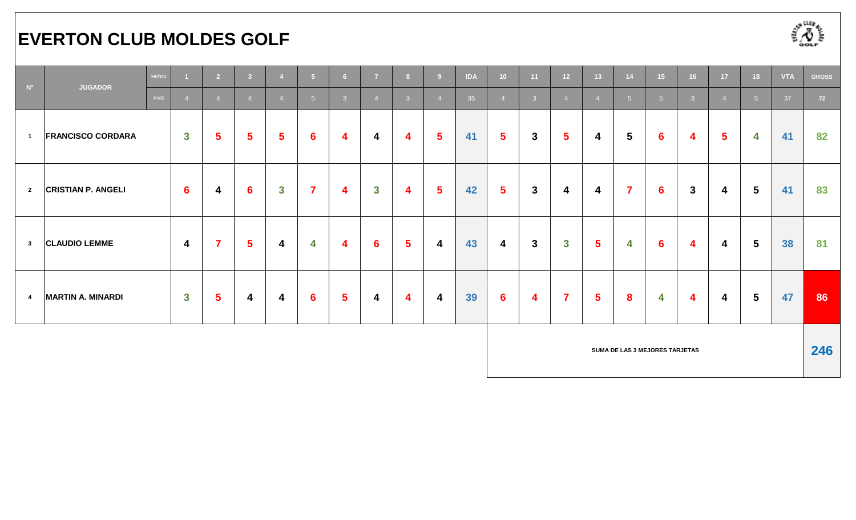# **EVERTON CLUB MOLDES GOLF**



| $N^{\circ}$             | <b>JUGADOR</b>            | HOYO |                 | $\overline{2}$  | $\overline{\mathbf{3}}$ | $\overline{4}$ | 5 <sub>1</sub>  | 6 <sup>1</sup> | $\overline{7}$ | 8 <sup>1</sup> | <b>C</b>                | <b>IDA</b> | 10 <sub>1</sub> | 11             | 12 <sub>2</sub> | 13 <sup>°</sup> | 14                             | 15              | 16             | 17             | 18              | <b>VTA</b> | <b>GROSS</b> |
|-------------------------|---------------------------|------|-----------------|-----------------|-------------------------|----------------|-----------------|----------------|----------------|----------------|-------------------------|------------|-----------------|----------------|-----------------|-----------------|--------------------------------|-----------------|----------------|----------------|-----------------|------------|--------------|
|                         |                           | PAR  |                 | $\overline{4}$  | $\overline{4}$          | $\overline{4}$ | 5 <sup>1</sup>  | $\mathbf{3}$   |                | 3 <sup>°</sup> |                         | 35         | $\overline{4}$  | 3 <sup>°</sup> | $\overline{4}$  |                 | 5 <sup>1</sup>                 | -5              | $\overline{3}$ | $\overline{4}$ | 5 <sup>5</sup>  | 37         | 72           |
| $\overline{1}$          | <b>FRANCISCO CORDARA</b>  |      | $\mathbf{3}$    | $5\phantom{1}$  | $5\phantom{1}$          | $5\phantom{1}$ | $6\phantom{1}6$ | 4              | 4              | 4              | $\overline{\mathbf{5}}$ | 41         | $5\phantom{1}$  | $\mathbf{3}$   | $5\phantom{1}$  | 4               | $5\phantom{1}$                 | $6\phantom{1}6$ | 4              | $5\phantom{1}$ | 4               | 41         | 82           |
| $\overline{2}$          | <b>CRISTIAN P. ANGELI</b> |      | $6\phantom{1}6$ | 4               | 6                       | $\mathbf{3}$   | $\overline{7}$  | 4              | $\mathbf{3}$   | 4              | $5\phantom{.0}$         | 42         | $5\phantom{1}$  | $\mathbf{3}$   | 4               | 4               | $\overline{\mathbf{7}}$        | $6\phantom{1}$  | 3              | 4              | $5\phantom{1}$  | 41         | 83           |
| $\overline{\mathbf{3}}$ | <b>CLAUDIO LEMME</b>      |      | $\overline{4}$  | $\overline{7}$  | $5\phantom{1}$          | 4              | 4               | 4              | $6\phantom{1}$ | $5\phantom{1}$ | $\overline{\mathbf{4}}$ | 43         | 4               | $\mathbf{3}$   | $\mathbf{3}$    | $5\phantom{1}$  | 4                              | $6\phantom{1}6$ | 4              | 4              | $5\phantom{1}$  | 38         | 81           |
| $\overline{4}$          | <b>MARTIN A. MINARDI</b>  |      | $\mathbf{3}$    | $5\overline{)}$ | $\boldsymbol{4}$        | 4              | $6\phantom{1}6$ | $5\phantom{1}$ | 4              | 4              | $\overline{\mathbf{4}}$ | 39         | $6\phantom{1}$  | 4              | $\overline{7}$  | $5\overline{)}$ | 8                              | 4               | 4              | 4              | $5\phantom{.0}$ | 47         | 86           |
|                         |                           |      |                 |                 |                         |                |                 |                |                |                |                         |            |                 |                |                 |                 | SUMA DE LAS 3 MEJORES TARJETAS |                 |                |                |                 |            | 246          |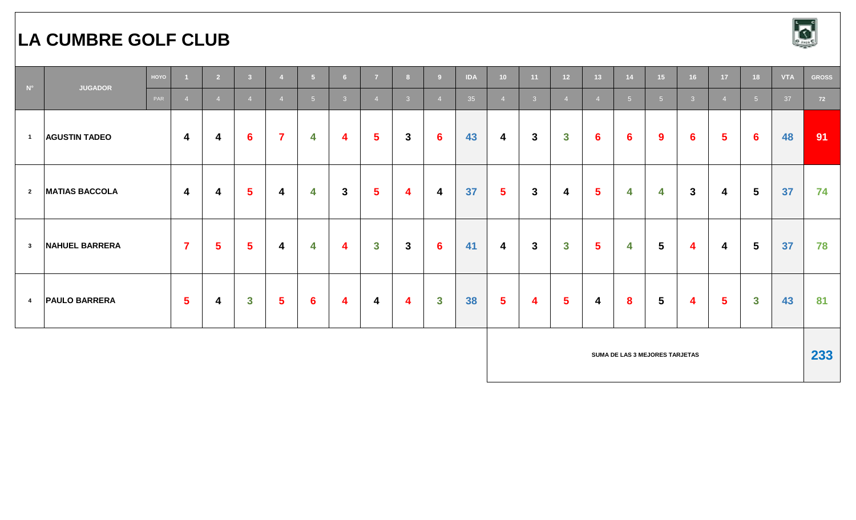### **LA CUMBRE GOLF CLUB**



| $N^{\circ}$             |                       | HOYO |                         | $\overline{2}$ | $\overline{\mathbf{3}}$ | $\overline{4}$          | 5 <sup>1</sup>  | 6 <sup>1</sup> | $\overline{7}$          | 8 <sup>1</sup> | -9              | <b>IDA</b> | 10 <sub>1</sub>         | 11             | 12 <sup>°</sup>  | 13 <sup>°</sup> | 14                             | 15              | 16               | 17             | 18              | <b>VTA</b> | <b>GROSS</b> |
|-------------------------|-----------------------|------|-------------------------|----------------|-------------------------|-------------------------|-----------------|----------------|-------------------------|----------------|-----------------|------------|-------------------------|----------------|------------------|-----------------|--------------------------------|-----------------|------------------|----------------|-----------------|------------|--------------|
|                         | <b>JUGADOR</b>        | PAR  |                         | $\overline{4}$ | $\overline{A}$          | $\overline{4}$          | 5 <sup>5</sup>  | 3 <sup>°</sup> | $\overline{4}$          | 3 <sup>°</sup> |                 | 35         | $\overline{4}$          | 3 <sup>2</sup> | $\overline{4}$   | $\overline{4}$  | 5 <sup>5</sup>                 | $5\overline{5}$ | $\overline{3}$   | $\overline{4}$ | 5 <sup>1</sup>  | 37         | 72           |
| $\overline{1}$          | <b>AGUSTIN TADEO</b>  |      | $\overline{\mathbf{4}}$ | 4              | $6\phantom{1}6$         | $\overline{7}$          | 4               | 4              | 5 <sup>5</sup>          | $\mathbf{3}$   | $6\phantom{1}6$ | 43         | 4                       | $\mathbf{3}$   | $\boldsymbol{3}$ | $6\phantom{1}$  | 6                              | 9               | 6                | $5\phantom{1}$ | 6               | 48         | 91           |
| $\overline{2}$          | <b>MATIAS BACCOLA</b> |      | $\overline{\mathbf{4}}$ | 4              | $5\phantom{a}$          | 4                       | 4               | $\mathbf{3}$   | $5\phantom{1}$          | 4              | 4               | 37         | $5\phantom{1}$          | $\mathbf{3}$   | 4                | 5               | 4                              | 4               | $\mathbf{3}$     | 4              | $5\phantom{.0}$ | 37         | 74           |
| $\overline{\mathbf{3}}$ | NAHUEL BARRERA        |      | $\overline{7}$          | $5\phantom{1}$ | $5\phantom{1}$          | $\overline{\mathbf{4}}$ | 4               | 4              | $\mathbf{3}$            | $\mathbf{3}$   | $6\phantom{1}6$ | 41         | $\overline{\mathbf{4}}$ | $\mathbf{3}$   | $\mathbf{3}$     | 5               | 4                              | $5\phantom{.0}$ | $\boldsymbol{4}$ | 4              | $5\phantom{.0}$ | 37         | 78           |
| $\overline{4}$          | <b>PAULO BARRERA</b>  |      | $5\overline{5}$         | 4              | $\mathbf{3}$            | 5 <sup>5</sup>          | $6\phantom{1}6$ | 4              | $\overline{\mathbf{4}}$ | 4              | $\mathbf{3}$    | 38         | $5\phantom{1}$          | 4              | $5\phantom{1}$   | 4               | 8                              | $5\phantom{.0}$ | $\boldsymbol{4}$ | $5\phantom{1}$ | $\mathbf{3}$    | 43         | 81           |
|                         |                       |      |                         |                |                         |                         |                 |                |                         |                |                 |            |                         |                |                  |                 | SUMA DE LAS 3 MEJORES TARJETAS |                 |                  |                |                 |            | 233          |